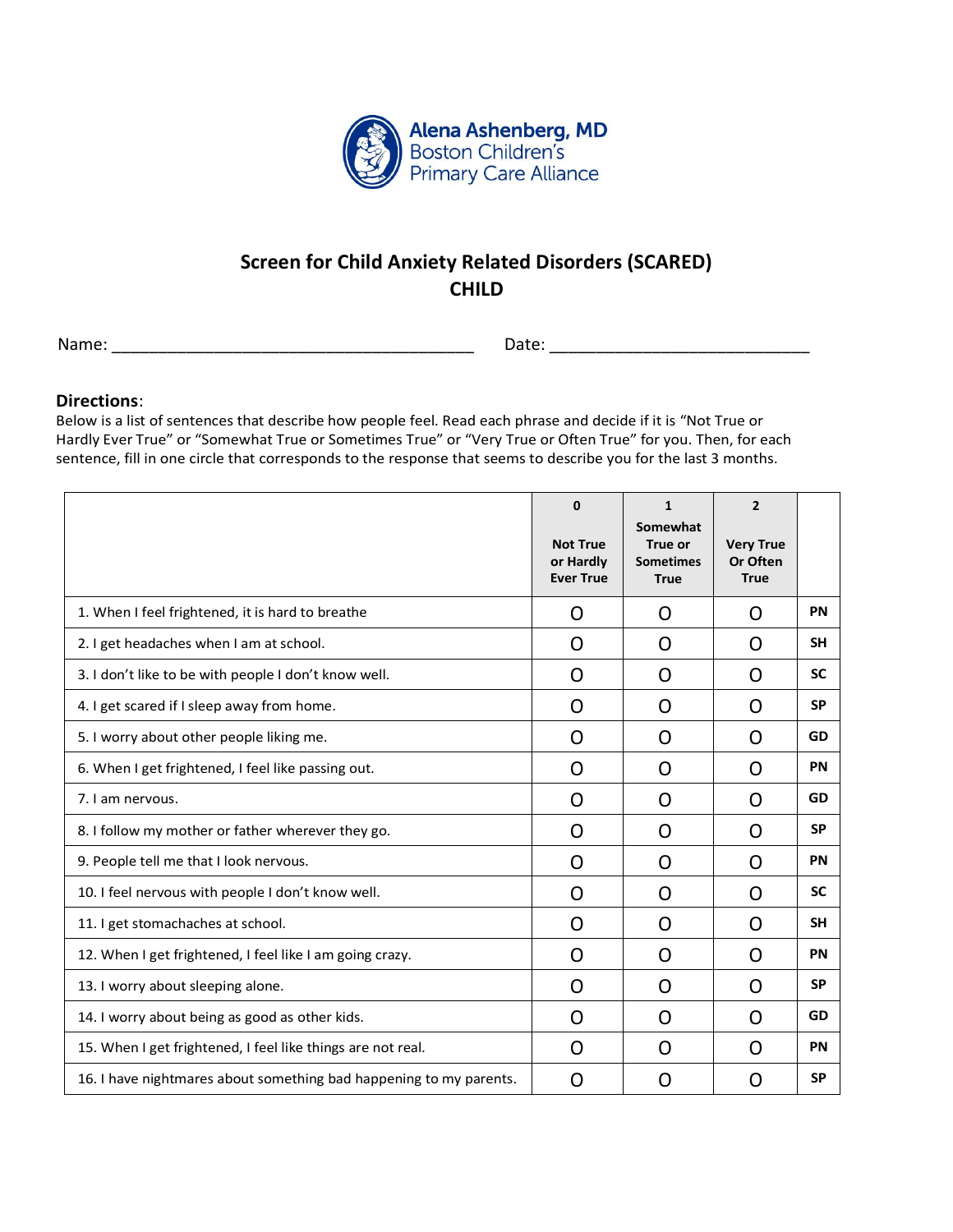

## **Screen for Child Anxiety Related Disorders (SCARED) CHILD**

Name: \_\_\_\_\_\_\_\_\_\_\_\_\_\_\_\_\_\_\_\_\_\_\_\_\_\_\_\_\_\_\_\_\_\_\_\_\_\_\_ Date: \_\_\_\_\_\_\_\_\_\_\_\_\_\_\_\_\_\_\_\_\_\_\_\_\_\_\_\_

## **Directions**:

Below is a list of sentences that describe how people feel. Read each phrase and decide if it is "Not True or Hardly Ever True" or "Somewhat True or Sometimes True" or "Very True or Often True" for you. Then, for each sentence, fill in one circle that corresponds to the response that seems to describe you for the last 3 months.

|                                                                    | $\mathbf 0$<br><b>Not True</b><br>or Hardly<br><b>Ever True</b> | $\mathbf{1}$<br>Somewhat<br>True or<br><b>Sometimes</b><br><b>True</b> | $\overline{2}$<br><b>Very True</b><br>Or Often<br><b>True</b> |           |
|--------------------------------------------------------------------|-----------------------------------------------------------------|------------------------------------------------------------------------|---------------------------------------------------------------|-----------|
| 1. When I feel frightened, it is hard to breathe                   | O                                                               | O                                                                      | O                                                             | PN        |
| 2. I get headaches when I am at school.                            | O                                                               | O                                                                      | O                                                             | <b>SH</b> |
| 3. I don't like to be with people I don't know well.               | O                                                               | O                                                                      | O                                                             | <b>SC</b> |
| 4. I get scared if I sleep away from home.                         | O                                                               | O                                                                      | O                                                             | <b>SP</b> |
| 5. I worry about other people liking me.                           | O                                                               | O                                                                      | O                                                             | GD        |
| 6. When I get frightened, I feel like passing out.                 | O                                                               | O                                                                      | O                                                             | PN        |
| 7. I am nervous.                                                   | O                                                               | O                                                                      | O                                                             | GD        |
| 8. I follow my mother or father wherever they go.                  | O                                                               | O                                                                      | O                                                             | <b>SP</b> |
| 9. People tell me that I look nervous.                             | O                                                               | O                                                                      | O                                                             | PN        |
| 10. I feel nervous with people I don't know well.                  | O                                                               | O                                                                      | O                                                             | <b>SC</b> |
| 11. I get stomachaches at school.                                  | O                                                               | O                                                                      | O                                                             | <b>SH</b> |
| 12. When I get frightened, I feel like I am going crazy.           | O                                                               | O                                                                      | O                                                             | PN        |
| 13. I worry about sleeping alone.                                  | O                                                               | O                                                                      | O                                                             | <b>SP</b> |
| 14. I worry about being as good as other kids.                     | O                                                               | O                                                                      | O                                                             | GD        |
| 15. When I get frightened, I feel like things are not real.        | O                                                               | O                                                                      | O                                                             | PN        |
| 16. I have nightmares about something bad happening to my parents. | O                                                               | O                                                                      | O                                                             | <b>SP</b> |